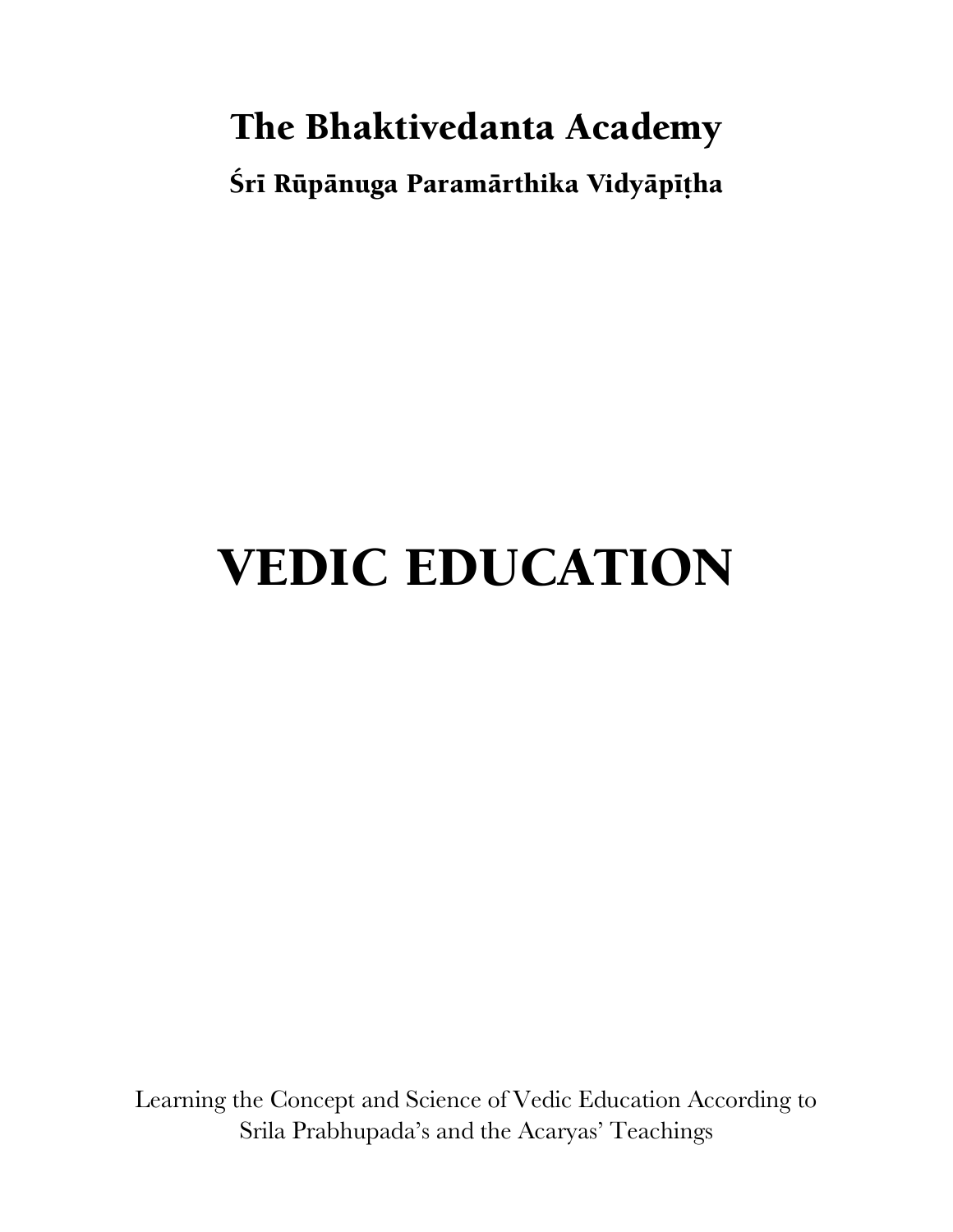## **The Bhaktivedanta Academy**

**Śrī Rūpānuga Paramārthika Vidyāpīțha** 

# **VEDIC EDUCATION**

Learning the Concept and Science of Vedic Education According to Srila Prabhupada's and the Acaryas' Teachings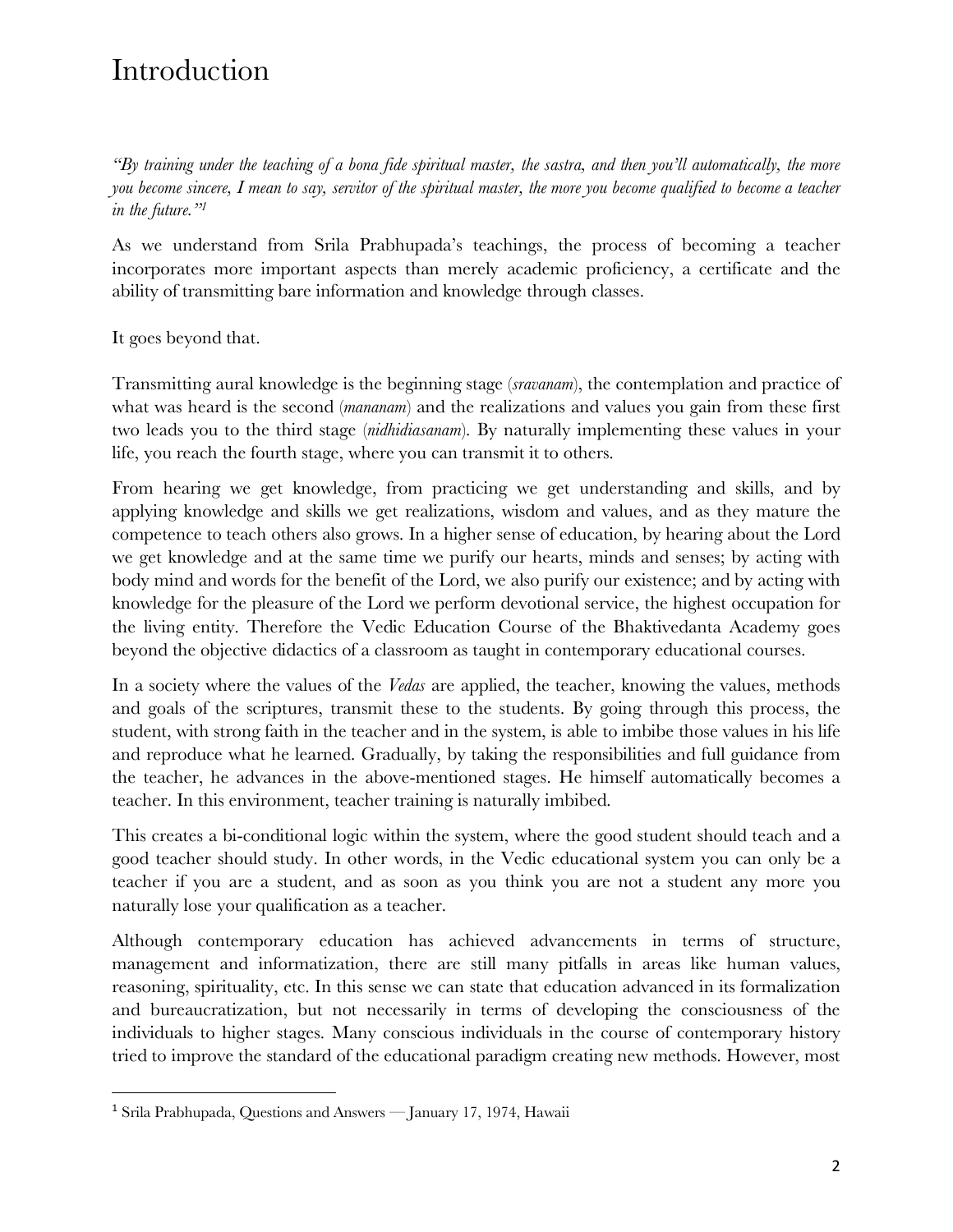## Introduction

*"By training under the teaching of a bona fide spiritual master, the sastra, and then you'll automatically, the more you become sincere, I mean to say, servitor of the spiritual master, the more you become qualified to become a teacher in the future."1*

As we understand from Srila Prabhupada's teachings, the process of becoming a teacher incorporates more important aspects than merely academic proficiency, a certificate and the ability of transmitting bare information and knowledge through classes.

It goes beyond that.

Transmitting aural knowledge is the beginning stage (*sravanam*), the contemplation and practice of what was heard is the second (*mananam*) and the realizations and values you gain from these first two leads you to the third stage (*nidhidiasanam*). By naturally implementing these values in your life, you reach the fourth stage, where you can transmit it to others.

From hearing we get knowledge, from practicing we get understanding and skills, and by applying knowledge and skills we get realizations, wisdom and values, and as they mature the competence to teach others also grows. In a higher sense of education, by hearing about the Lord we get knowledge and at the same time we purify our hearts, minds and senses; by acting with body mind and words for the benefit of the Lord, we also purify our existence; and by acting with knowledge for the pleasure of the Lord we perform devotional service, the highest occupation for the living entity. Therefore the Vedic Education Course of the Bhaktivedanta Academy goes beyond the objective didactics of a classroom as taught in contemporary educational courses.

In a society where the values of the *Vedas* are applied, the teacher, knowing the values, methods and goals of the scriptures, transmit these to the students. By going through this process, the student, with strong faith in the teacher and in the system, is able to imbibe those values in his life and reproduce what he learned. Gradually, by taking the responsibilities and full guidance from the teacher, he advances in the above-mentioned stages. He himself automatically becomes a teacher. In this environment, teacher training is naturally imbibed.

This creates a bi-conditional logic within the system, where the good student should teach and a good teacher should study. In other words, in the Vedic educational system you can only be a teacher if you are a student, and as soon as you think you are not a student any more you naturally lose your qualification as a teacher.

Although contemporary education has achieved advancements in terms of structure, management and informatization, there are still many pitfalls in areas like human values, reasoning, spirituality, etc. In this sense we can state that education advanced in its formalization and bureaucratization, but not necessarily in terms of developing the consciousness of the individuals to higher stages. Many conscious individuals in the course of contemporary history tried to improve the standard of the educational paradigm creating new methods. However, most

<sup>&</sup>lt;sup>1</sup> Srila Prabhupada, Questions and Answers — January 17, 1974, Hawaii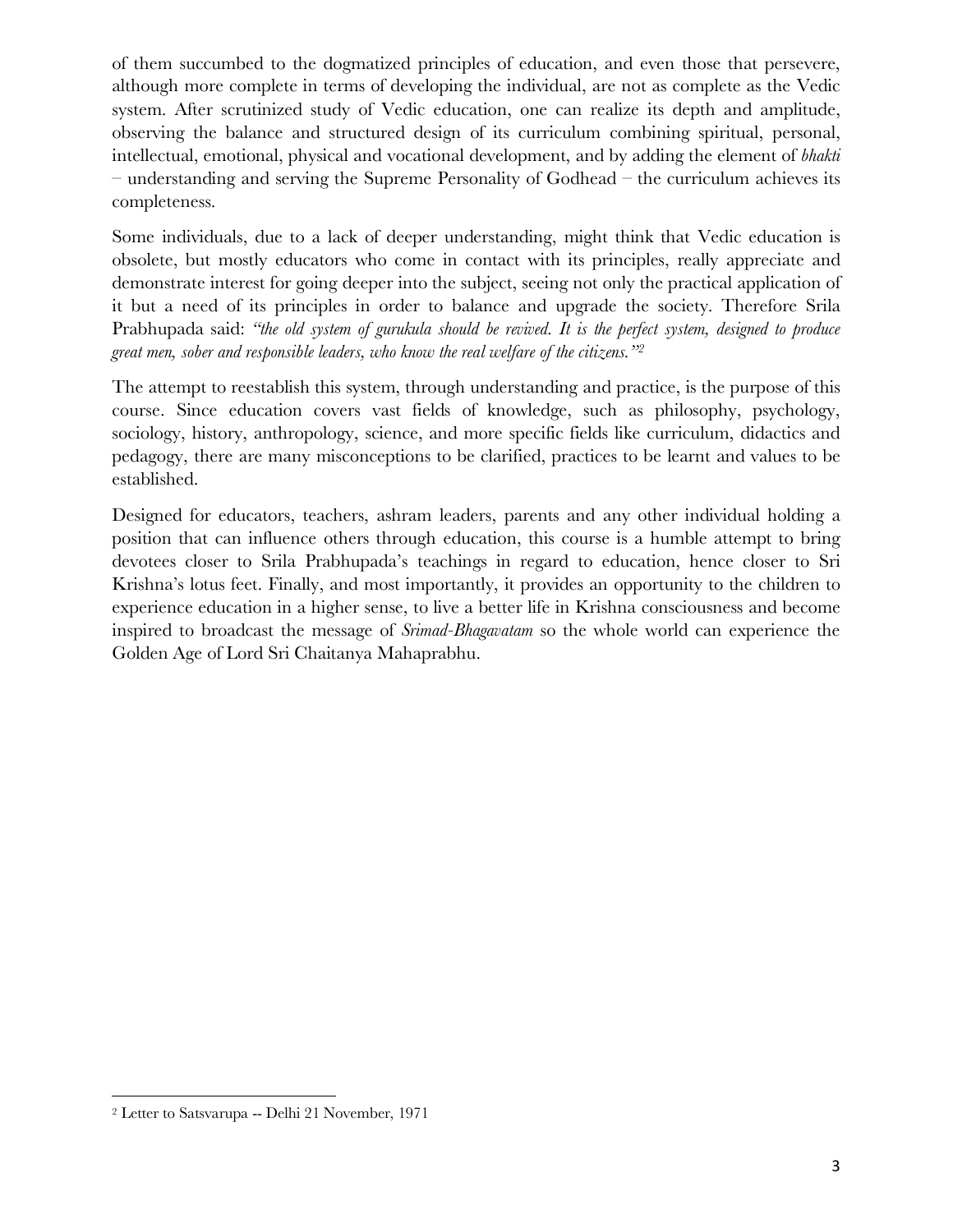of them succumbed to the dogmatized principles of education, and even those that persevere, although more complete in terms of developing the individual, are not as complete as the Vedic system. After scrutinized study of Vedic education, one can realize its depth and amplitude, observing the balance and structured design of its curriculum combining spiritual, personal, intellectual, emotional, physical and vocational development, and by adding the element of *bhakti* – understanding and serving the Supreme Personality of Godhead – the curriculum achieves its completeness.

Some individuals, due to a lack of deeper understanding, might think that Vedic education is obsolete, but mostly educators who come in contact with its principles, really appreciate and demonstrate interest for going deeper into the subject, seeing not only the practical application of it but a need of its principles in order to balance and upgrade the society. Therefore Srila Prabhupada said: *"the old system of gurukula should be revived. It is the perfect system, designed to produce great men, sober and responsible leaders, who know the real welfare of the citizens."2*

The attempt to reestablish this system, through understanding and practice, is the purpose of this course. Since education covers vast fields of knowledge, such as philosophy, psychology, sociology, history, anthropology, science, and more specific fields like curriculum, didactics and pedagogy, there are many misconceptions to be clarified, practices to be learnt and values to be established.

Designed for educators, teachers, ashram leaders, parents and any other individual holding a position that can influence others through education, this course is a humble attempt to bring devotees closer to Srila Prabhupada's teachings in regard to education, hence closer to Sri Krishna's lotus feet. Finally, and most importantly, it provides an opportunity to the children to experience education in a higher sense, to live a better life in Krishna consciousness and become inspired to broadcast the message of *Srimad-Bhagavatam* so the whole world can experience the Golden Age of Lord Sri Chaitanya Mahaprabhu.

 $\overline{a}$ 

<sup>2</sup> Letter to Satsvarupa -- Delhi 21 November, 1971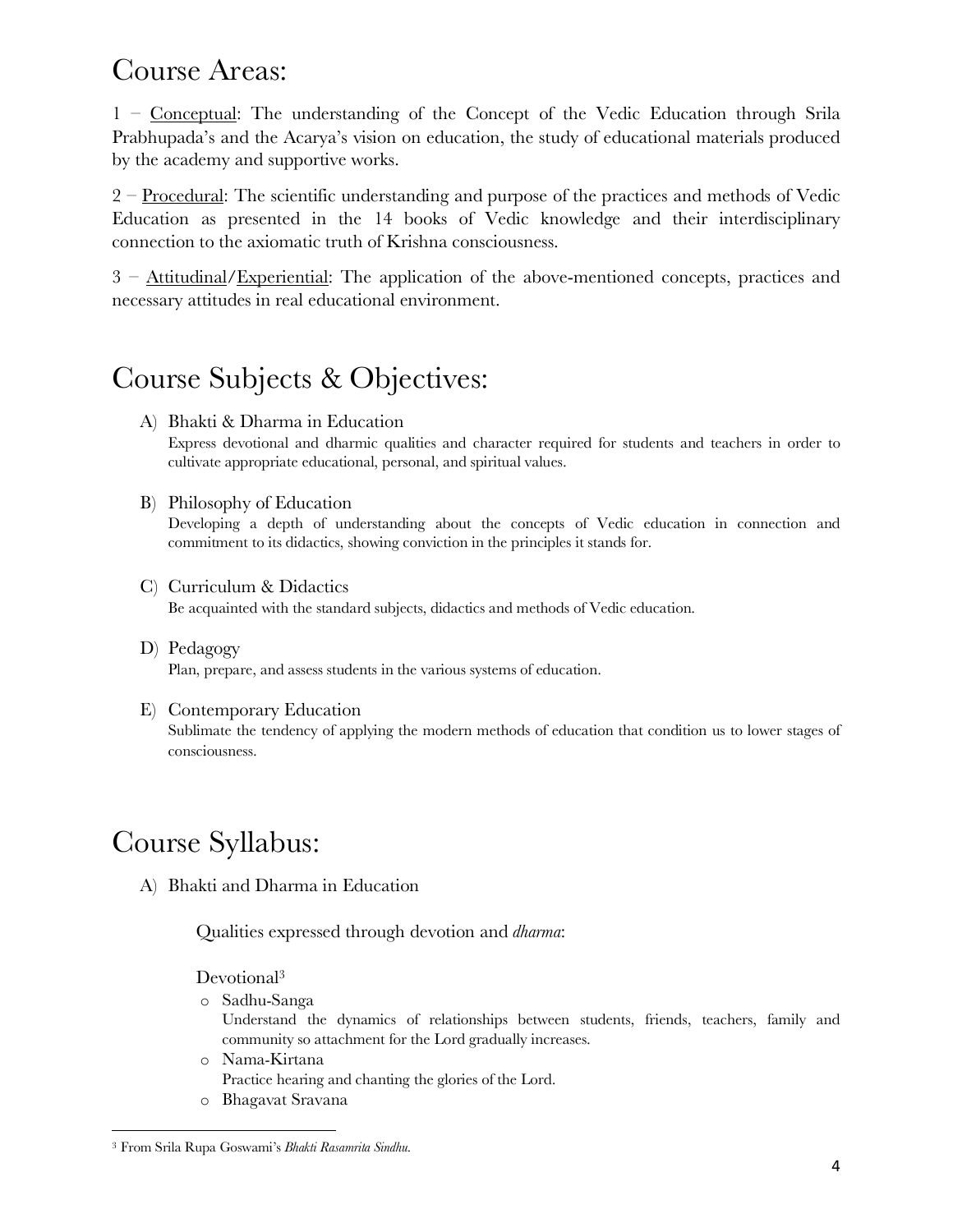### Course Areas:

1 – Conceptual: The understanding of the Concept of the Vedic Education through Srila Prabhupada's and the Acarya's vision on education, the study of educational materials produced by the academy and supportive works.

2 – Procedural: The scientific understanding and purpose of the practices and methods of Vedic Education as presented in the 14 books of Vedic knowledge and their interdisciplinary connection to the axiomatic truth of Krishna consciousness.

3 – Attitudinal/Experiential: The application of the above-mentioned concepts, practices and necessary attitudes in real educational environment.

## Course Subjects & Objectives:

A) Bhakti & Dharma in Education

Express devotional and dharmic qualities and character required for students and teachers in order to cultivate appropriate educational, personal, and spiritual values.

B) Philosophy of Education

Developing a depth of understanding about the concepts of Vedic education in connection and commitment to its didactics, showing conviction in the principles it stands for.

- C) Curriculum & Didactics Be acquainted with the standard subjects, didactics and methods of Vedic education.
- D) Pedagogy Plan, prepare, and assess students in the various systems of education.
- E) Contemporary Education Sublimate the tendency of applying the modern methods of education that condition us to lower stages of consciousness.

## Course Syllabus:

A) Bhakti and Dharma in Education

Qualities expressed through devotion and *dharma*:

#### Devotional<sup>3</sup>

o Sadhu-Sanga

Understand the dynamics of relationships between students, friends, teachers, family and community so attachment for the Lord gradually increases.

- o Nama-Kirtana Practice hearing and chanting the glories of the Lord.
- o Bhagavat Sravana

 $\overline{\phantom{a}}$ 

<sup>3</sup> From Srila Rupa Goswami's *Bhakti Rasamrita Sindhu*.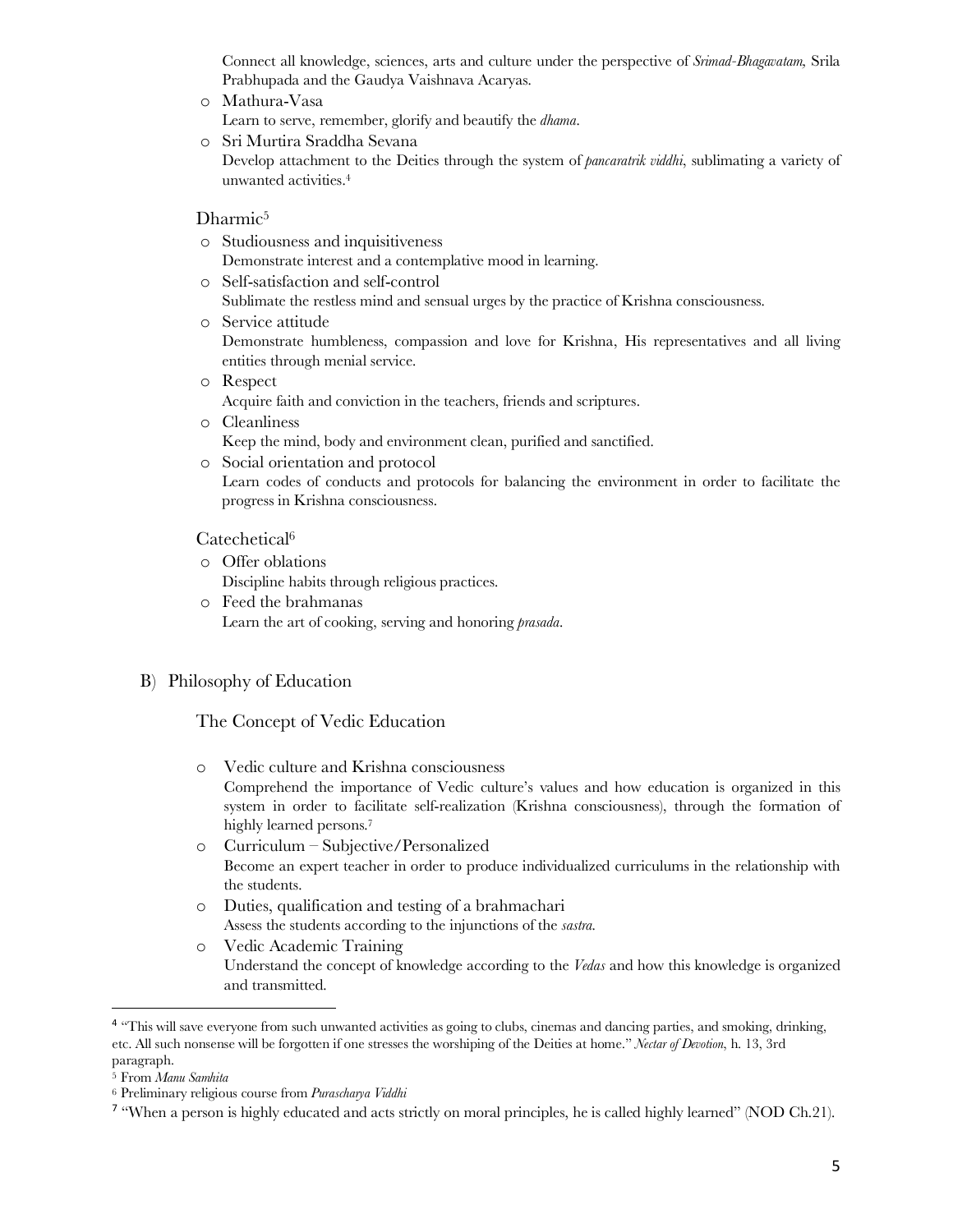Connect all knowledge, sciences, arts and culture under the perspective of *Srimad-Bhagavatam,* Srila Prabhupada and the Gaudya Vaishnava Acaryas.

- o Mathura-Vasa
	- Learn to serve, remember, glorify and beautify the *dhama*.
- o Sri Murtira Sraddha Sevana Develop attachment to the Deities through the system of *pancaratrik viddhi*, sublimating a variety of unwanted activities.4

#### Dharmic<sup>5</sup>

- o Studiousness and inquisitiveness Demonstrate interest and a contemplative mood in learning.
- o Self-satisfaction and self-control
- Sublimate the restless mind and sensual urges by the practice of Krishna consciousness.
- o Service attitude Demonstrate humbleness, compassion and love for Krishna, His representatives and all living entities through menial service.
- o Respect Acquire faith and conviction in the teachers, friends and scriptures.
- o Cleanliness Keep the mind, body and environment clean, purified and sanctified.
- o Social orientation and protocol Learn codes of conducts and protocols for balancing the environment in order to facilitate the progress in Krishna consciousness.

#### Catechetical6

- o Offer oblations Discipline habits through religious practices.
- o Feed the brahmanas Learn the art of cooking, serving and honoring *prasada*.

#### B) Philosophy of Education

#### The Concept of Vedic Education

- o Vedic culture and Krishna consciousness Comprehend the importance of Vedic culture's values and how education is organized in this system in order to facilitate self-realization (Krishna consciousness), through the formation of highly learned persons.<sup>7</sup>
	- o Curriculum Subjective/Personalized Become an expert teacher in order to produce individualized curriculums in the relationship with the students.
	- o Duties, qualification and testing of a brahmachari Assess the students according to the injunctions of the *sastra.*
- o Vedic Academic Training Understand the concept of knowledge according to the *Vedas* and how this knowledge is organized and transmitted.

<sup>&</sup>lt;sup>4</sup> "This will save everyone from such unwanted activities as going to clubs, cinemas and dancing parties, and smoking, drinking, etc. All such nonsense will be forgotten if one stresses the worshiping of the Deities at home." *Nectar of Devotion*, h. 13, 3rd paragraph.

<sup>5</sup> From *Manu Samhita*

<sup>6</sup> Preliminary religious course from *Purascharya Viddhi*

<sup>&</sup>lt;sup>7</sup> "When a person is highly educated and acts strictly on moral principles, he is called highly learned" (NOD Ch.21).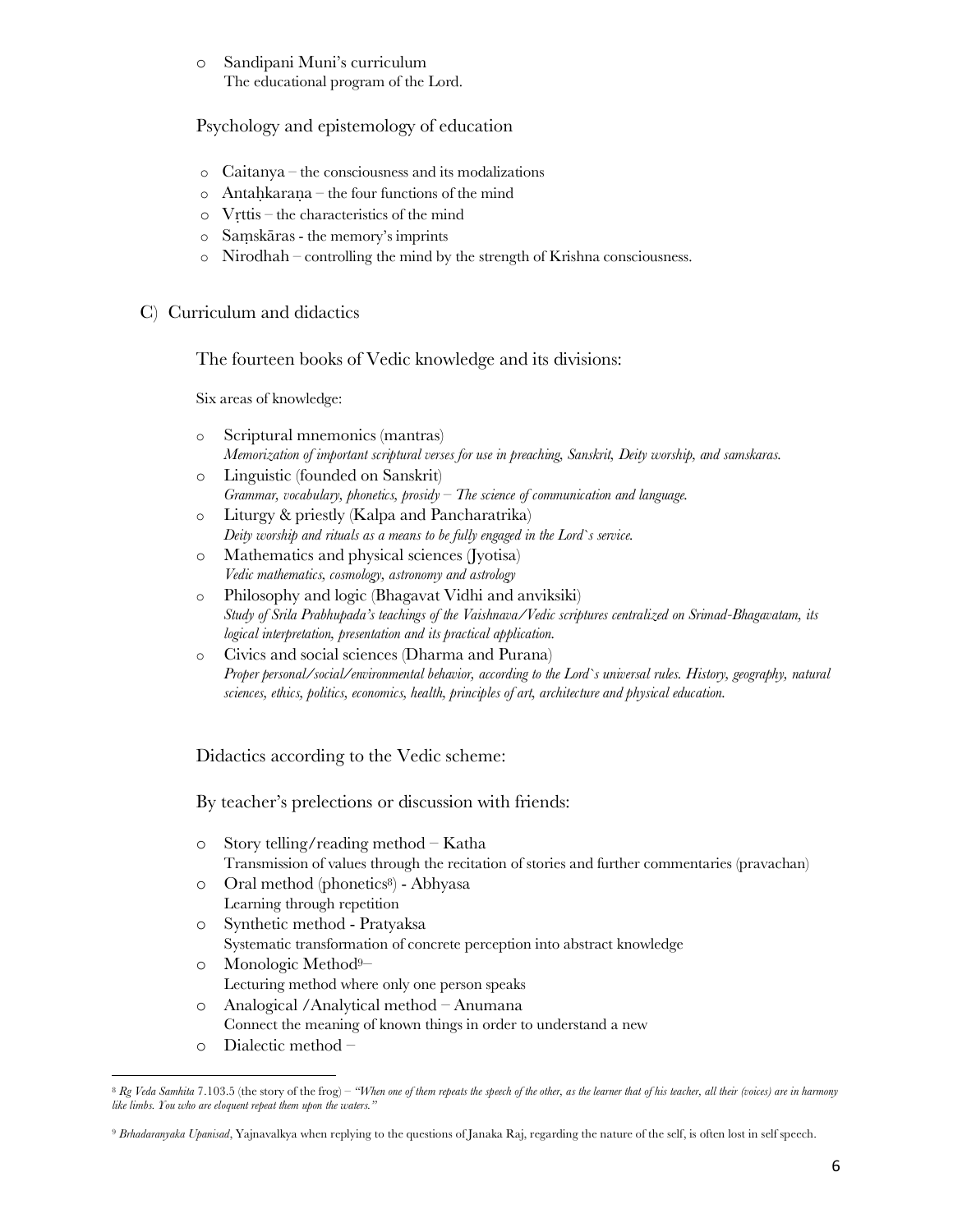o Sandipani Muni's curriculum The educational program of the Lord.

Psychology and epistemology of education

- o Caitanya the consciousness and its modalizations
- $\circ$  Antahkarana the four functions of the mind
- o Vṛttis the characteristics of the mind
- o Saṃskāras the memory's imprints
- o Nirodhah controlling the mind by the strength of Krishna consciousness.
- C) Curriculum and didactics

The fourteen books of Vedic knowledge and its divisions:

Six areas of knowledge:

- o Scriptural mnemonics (mantras) *Memorization of important scriptural verses for use in preaching, Sanskrit, Deity worship, and samskaras.*
- o Linguistic (founded on Sanskrit) *Grammar, vocabulary, phonetics, prosidy – The science of communication and language.*
- o Liturgy & priestly (Kalpa and Pancharatrika) *Deity worship and rituals as a means to be fully engaged in the Lord`s service.*
- o Mathematics and physical sciences (Jyotisa) *Vedic mathematics, cosmology, astronomy and astrology*
- o Philosophy and logic (Bhagavat Vidhi and anviksiki) *Study of Srila Prabhupada's teachings of the Vaishnava/Vedic scriptures centralized on Srimad-Bhagavatam, its logical interpretation, presentation and its practical application.*
- o Civics and social sciences (Dharma and Purana) *Proper personal/social/environmental behavior, according to the Lord`s universal rules. History, geography, natural sciences, ethics, politics, economics, health, principles of art, architecture and physical education.*

Didactics according to the Vedic scheme:

By teacher's prelections or discussion with friends:

- o Story telling/reading method Katha Transmission of values through the recitation of stories and further commentaries (pravachan)
- o Oral method (phonetics<sup>8</sup>) Abhyasa Learning through repetition
- o Synthetic method Pratyaksa Systematic transformation of concrete perception into abstract knowledge
- o Monologic Method9– Lecturing method where only one person speaks
- o Analogical /Analytical method Anumana
- Connect the meaning of known things in order to understand a new
- o Dialectic method –

l <sup>8</sup> Rg Veda Samhita 7.103.5 (the story of the frog) – "When one of them repeats the speech of the other, as the learner that of his teacher, all their (voices) are in harmony *like limbs. You who are eloquent repeat them upon the waters."*

<sup>9</sup> *Brhadaranyaka Upanisad*, Yajnavalkya when replying to the questions of Janaka Raj, regarding the nature of the self, is often lost in self speech.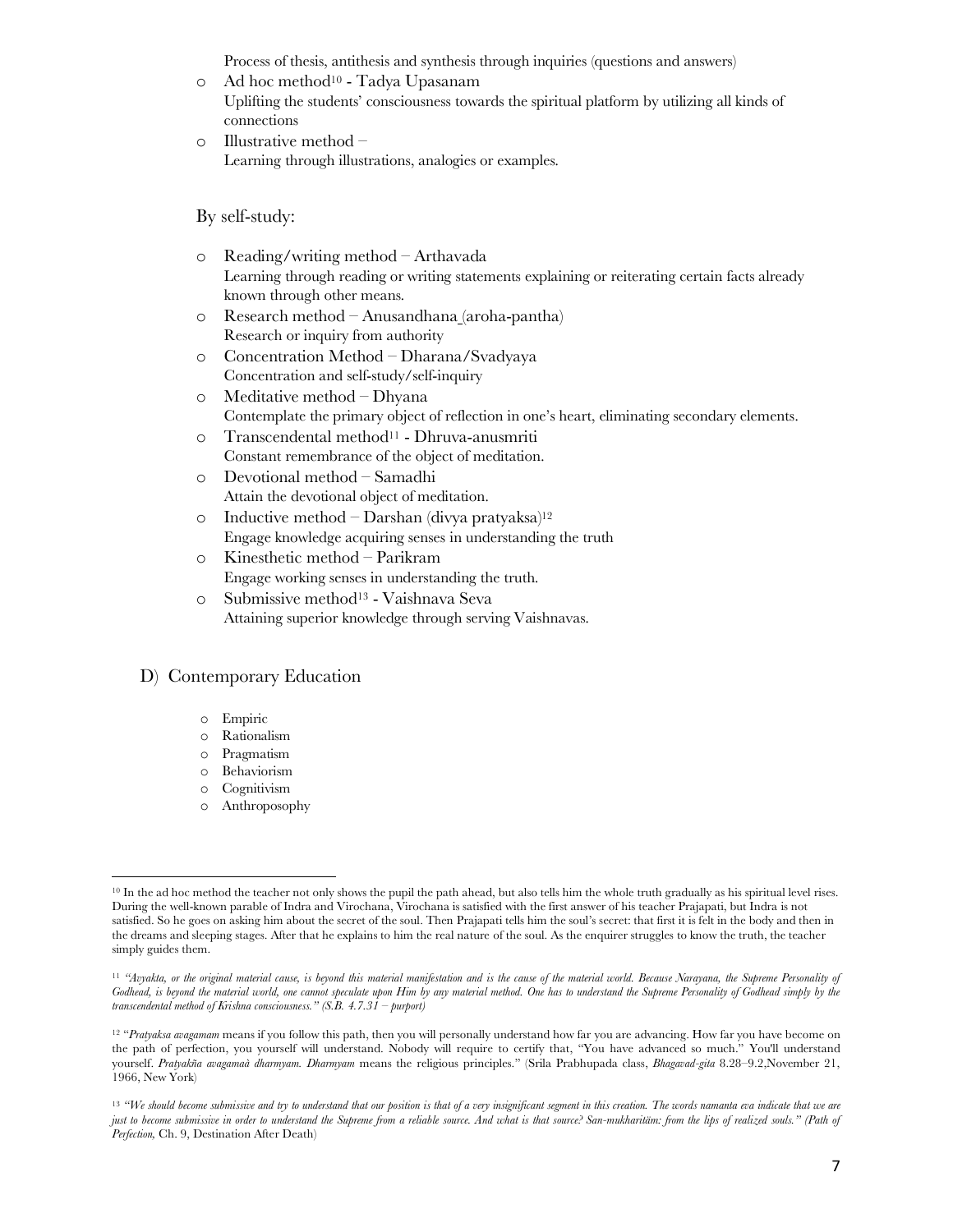Process of thesis, antithesis and synthesis through inquiries (questions and answers)

- o Ad hoc method10 Tadya Upasanam Uplifting the students' consciousness towards the spiritual platform by utilizing all kinds of connections
- o Illustrative method Learning through illustrations, analogies or examples.

#### By self-study:

- o Reading/writing method Arthavada Learning through reading or writing statements explaining or reiterating certain facts already known through other means.
- o Research method Anusandhana (aroha-pantha) Research or inquiry from authority
- o Concentration Method Dharana/Svadyaya Concentration and self-study/self-inquiry
- o Meditative method Dhyana Contemplate the primary object of reflection in one's heart, eliminating secondary elements.
- o Transcendental method11 Dhruva-anusmriti Constant remembrance of the object of meditation.
- o Devotional method Samadhi Attain the devotional object of meditation.
- o Inductive method Darshan (divya pratyaksa)<sup>12</sup> Engage knowledge acquiring senses in understanding the truth
- o Kinesthetic method Parikram Engage working senses in understanding the truth.
- o Submissive method13 Vaishnava Seva Attaining superior knowledge through serving Vaishnavas.

#### D) Contemporary Education

- o Empiric
- o Rationalism
- o Pragmatism
- o Behaviorism
- o Cognitivism o Anthroposophy

l <sup>10</sup> In the ad hoc method the teacher not only shows the pupil the path ahead, but also tells him the whole truth gradually as his spiritual level rises. During the well-known parable of Indra and Virochana, Virochana is satisfied with the first answer of his teacher Prajapati, but Indra is not satisfied. So he goes on asking him about the secret of the soul. Then Prajapati tells him the soul's secret: that first it is felt in the body and then in the dreams and sleeping stages. After that he explains to him the real nature of the soul. As the enquirer struggles to know the truth, the teacher simply guides them.

<sup>&</sup>lt;sup>11</sup> "Avyakta, or the original material cause, is beyond this material manifestation and is the cause of the material world. Because Narayana, the Supreme Personality of Godhead, is beyond the material world, one cannot speculate upon Him by any material method. One has to understand the Supreme Personality of Godhead simply by the *transcendental method of Krishna consciousness." (S.B. 4.7.31 – purport)*

<sup>&</sup>lt;sup>12</sup> "Pratyaksa avagamam means if you follow this path, then you will personally understand how far you are advancing. How far you have become on the path of perfection, you yourself will understand. Nobody will require to certify that, "You have advanced so much." You'll understand yourself. *Pratyakña avagamaà dharmyam. Dharmyam* means the religious principles." (Srila Prabhupada class, *Bhagavad-gita* 8.28–9.2,November 21, 1966, New York)

<sup>&</sup>lt;sup>13</sup> "We should become submissive and try to understand that our position is that of a very insignificant segment in this creation. The words namanta eva indicate that we are *just to become submissive in order to understand the Supreme from a reliable source. And what is that source? San-mukharitäm: from the lips of realized souls." (Path of Perfection,* Ch. 9, Destination After Death)